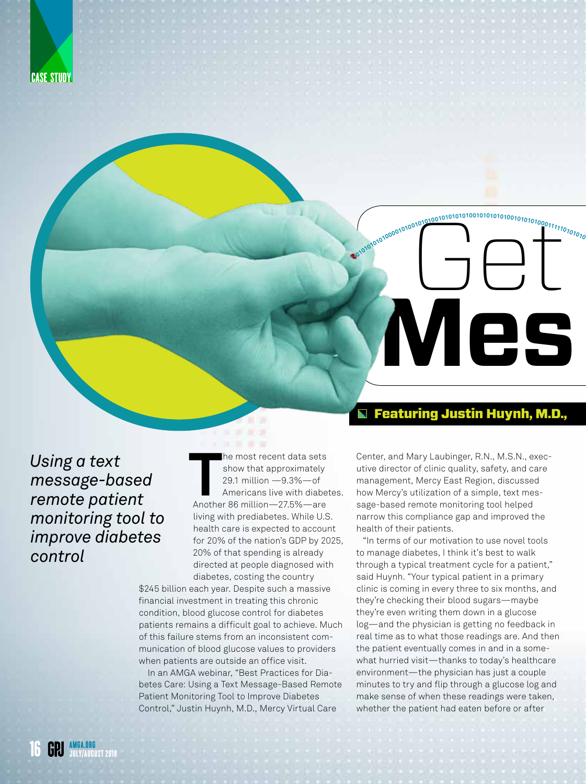



## $\blacksquare$  Featuring Justin Huynh, M.D.,

*Using a text message-based remote patient monitoring tool to improve diabetes control* 

he most recent data sets<br>
show that approximately<br>
29.1 million —9.3%—of<br>
Americans live with diabe<br>
Another 86 million—27.5%—are he most recent data sets show that approximately 29.1 million —9.3%—of Americans live with diabetes. living with prediabetes. While U.S. health care is expected to account for 20% of the nation's GDP by 2025, 20% of that spending is already directed at people diagnosed with diabetes, costing the country

\$245 billion each year. Despite such a massive financial investment in treating this chronic condition, blood glucose control for diabetes patients remains a difficult goal to achieve. Much of this failure stems from an inconsistent communication of blood glucose values to providers when patients are outside an office visit.

In an AMGA webinar, "Best Practices for Diabetes Care: Using a Text Message-Based Remote Patient Monitoring Tool to Improve Diabetes Control," Justin Huynh, M.D., Mercy Virtual Care

Center, and Mary Laubinger, R.N., M.S.N., executive director of clinic quality, safety, and care management, Mercy East Region, discussed how Mercy's utilization of a simple, text message-based remote monitoring tool helped narrow this compliance gap and improved the health of their patients.

"In terms of our motivation to use novel tools to manage diabetes, I think it's best to walk through a typical treatment cycle for a patient," said Huynh. "Your typical patient in a primary clinic is coming in every three to six months, and they're checking their blood sugars—maybe they're even writing them down in a glucose log—and the physician is getting no feedback in real time as to what those readings are. And then the patient eventually comes in and in a somewhat hurried visit—thanks to today's healthcare environment—the physician has just a couple minutes to try and flip through a glucose log and make sense of when these readings were taken, whether the patient had eaten before or after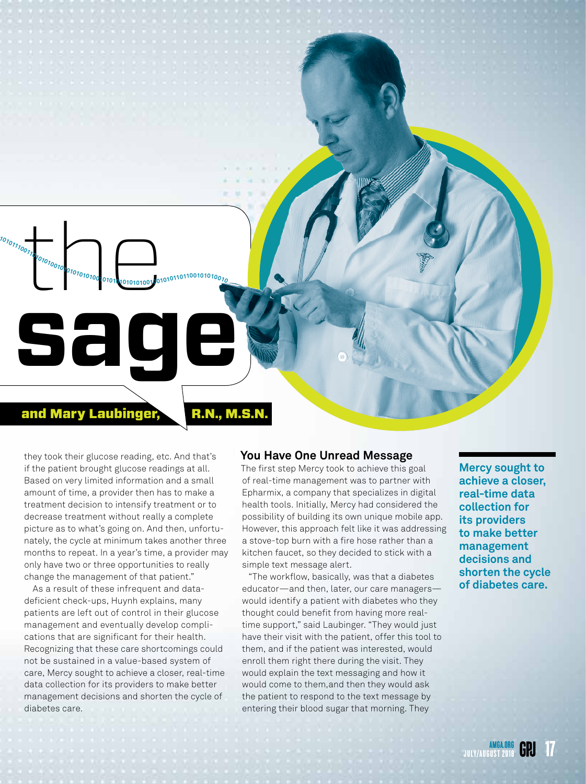## and Mary Laubinger, R.N., M.S.N.

 $\begin{picture}(100,100) \put(0,0){\line(1,0){100}} \put(10,0){\line(1,0){100}} \put(10,0){\line(1,0){100}} \put(10,0){\line(1,0){100}} \put(10,0){\line(1,0){100}} \put(10,0){\line(1,0){100}} \put(10,0){\line(1,0){100}} \put(10,0){\line(1,0){100}} \put(10,0){\line(1,0){100}} \put(10,0){\line(1,0){100}} \put(10,0){\line(1,0){100$ 

**<sup>0</sup>101010101000010100101010010101010100101010101001010101000111110101010101011100110101010010101010101001010101010101001001010110110010101001<sup>0</sup>**

**Mes sage**

they took their glucose reading, etc. And that's if the patient brought glucose readings at all. Based on very limited information and a small amount of time, a provider then has to make a treatment decision to intensify treatment or to decrease treatment without really a complete picture as to what's going on. And then, unfortunately, the cycle at minimum takes another three months to repeat. In a year's time, a provider may only have two or three opportunities to really change the management of that patient."

As a result of these infrequent and datadeficient check-ups, Huynh explains, many patients are left out of control in their glucose management and eventually develop complications that are significant for their health. Recognizing that these care shortcomings could not be sustained in a value-based system of care, Mercy sought to achieve a closer, real-time data collection for its providers to make better management decisions and shorten the cycle of diabetes care.

### **You Have One Unread Message**

The first step Mercy took to achieve this goal of real-time management was to partner with Epharmix, a company that specializes in digital health tools. Initially, Mercy had considered the possibility of building its own unique mobile app. However, this approach felt like it was addressing a stove-top burn with a fire hose rather than a kitchen faucet, so they decided to stick with a simple text message alert.

"The workflow, basically, was that a diabetes educator—and then, later, our care managers would identify a patient with diabetes who they thought could benefit from having more realtime support," said Laubinger. "They would just have their visit with the patient, offer this tool to them, and if the patient was interested, would enroll them right there during the visit. They would explain the text messaging and how it would come to them,and then they would ask the patient to respond to the text message by entering their blood sugar that morning. They

**Mercy sought to achieve a closer, real-time data collection for its providers to make better management decisions and shorten the cycle of diabetes care.**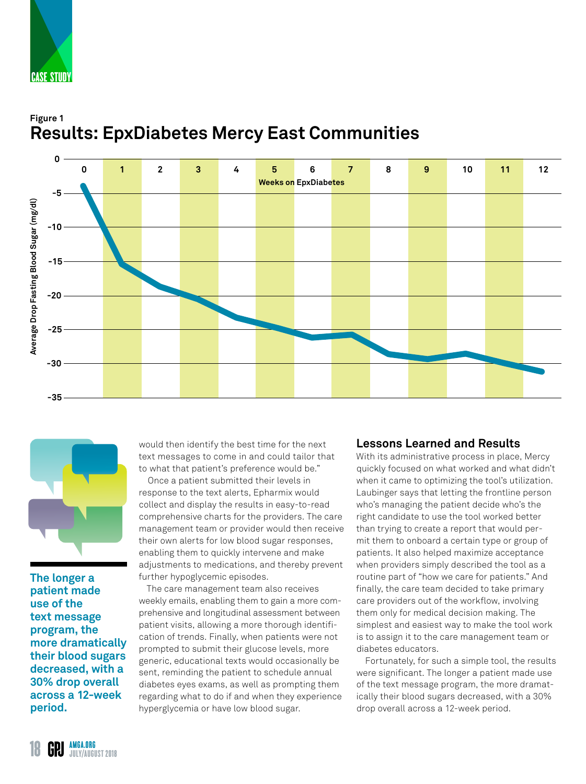

# **Figure 1 Results: EpxDiabetes Mercy East Communities**





**The longer a patient made use of the text message program, the more dramatically their blood sugars decreased, with a 30% drop overall across a 12-week period.**

would then identify the best time for the next text messages to come in and could tailor that to what that patient's preference would be."

Once a patient submitted their levels in response to the text alerts, Epharmix would collect and display the results in easy-to-read comprehensive charts for the providers. The care management team or provider would then receive their own alerts for low blood sugar responses, enabling them to quickly intervene and make adjustments to medications, and thereby prevent further hypoglycemic episodes.

The care management team also receives weekly emails, enabling them to gain a more comprehensive and longitudinal assessment between patient visits, allowing a more thorough identification of trends. Finally, when patients were not prompted to submit their glucose levels, more generic, educational texts would occasionally be sent, reminding the patient to schedule annual diabetes eyes exams, as well as prompting them regarding what to do if and when they experience hyperglycemia or have low blood sugar.

## **Lessons Learned and Results**

With its administrative process in place, Mercy quickly focused on what worked and what didn't when it came to optimizing the tool's utilization. Laubinger says that letting the frontline person who's managing the patient decide who's the right candidate to use the tool worked better than trying to create a report that would permit them to onboard a certain type or group of patients. It also helped maximize acceptance when providers simply described the tool as a routine part of "how we care for patients." And finally, the care team decided to take primary care providers out of the workflow, involving them only for medical decision making. The simplest and easiest way to make the tool work is to assign it to the care management team or diabetes educators.

Fortunately, for such a simple tool, the results were significant. The longer a patient made use of the text message program, the more dramatically their blood sugars decreased, with a 30% drop overall across a 12-week period.